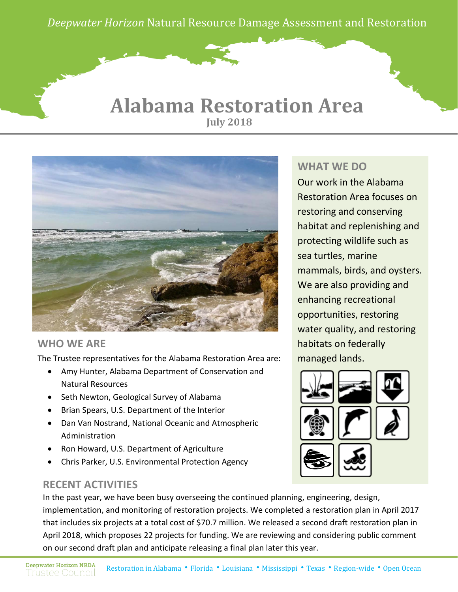*Deepwater Horizon* Natural Resource Damage Assessment and Restoration

### **July 2018 Alabama Restoration Area**



### **WHO WE ARE**

The Trustee representatives for the Alabama Restoration Area are:

- Amy Hunter, Alabama Department of Conservation and Natural Resources
- Seth Newton, Geological Survey of Alabama
- Brian Spears, U.S. Department of the Interior
- Dan Van Nostrand, National Oceanic and Atmospheric Administration
- Ron Howard, U.S. Department of Agriculture
- Chris Parker, U.S. Environmental Protection Agency

#### **RECENT ACTIVITIES**

#### **WHAT WE DO**

Our work in the Alabama Restoration Area focuses on restoring and conserving habitat and replenishing and protecting wildlife such as sea turtles, marine mammals, birds, and oysters. We are also providing and enhancing recreational opportunities, restoring water quality, and restoring habitats on federally managed lands.



In the past year, we have been busy overseeing the continued planning, engineering, design, implementation, and monitoring of restoration projects. We completed a restoration plan in April 2017 that includes six projects at a total cost of \$70.7 million. We released a second draft restoration plan in April 2018, which proposes 22 projects for funding. We are reviewing and considering public comment on our second draft plan and anticipate releasing a final plan later this year.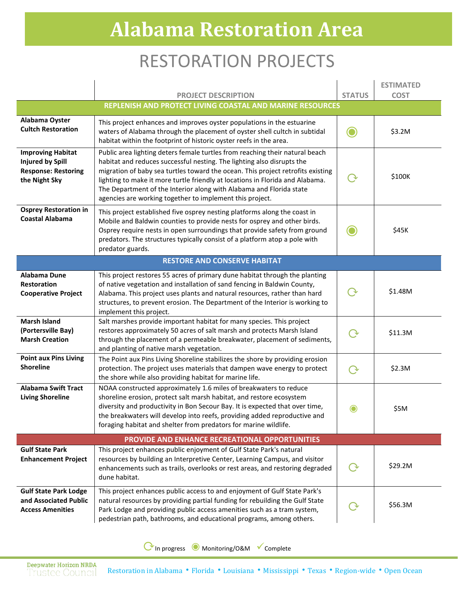# RESTORATION PROJECTS

|                                                                                                    | <b>PROJECT DESCRIPTION</b>                                                                                                                                                                                                                                                                                                                                                                                                                                    | <b>STATUS</b> | <b>ESTIMATED</b><br><b>COST</b> |  |
|----------------------------------------------------------------------------------------------------|---------------------------------------------------------------------------------------------------------------------------------------------------------------------------------------------------------------------------------------------------------------------------------------------------------------------------------------------------------------------------------------------------------------------------------------------------------------|---------------|---------------------------------|--|
| REPLENISH AND PROTECT LIVING COASTAL AND MARINE RESOURCES                                          |                                                                                                                                                                                                                                                                                                                                                                                                                                                               |               |                                 |  |
| Alabama Oyster<br><b>Cultch Restoration</b>                                                        | This project enhances and improves oyster populations in the estuarine<br>waters of Alabama through the placement of oyster shell cultch in subtidal<br>habitat within the footprint of historic oyster reefs in the area.                                                                                                                                                                                                                                    |               | \$3.2M                          |  |
| <b>Improving Habitat</b><br><b>Injured by Spill</b><br><b>Response: Restoring</b><br>the Night Sky | Public area lighting deters female turtles from reaching their natural beach<br>habitat and reduces successful nesting. The lighting also disrupts the<br>migration of baby sea turtles toward the ocean. This project retrofits existing<br>lighting to make it more turtle friendly at locations in Florida and Alabama.<br>The Department of the Interior along with Alabama and Florida state<br>agencies are working together to implement this project. |               | \$100K                          |  |
| <b>Osprey Restoration in</b><br><b>Coastal Alabama</b>                                             | This project established five osprey nesting platforms along the coast in<br>Mobile and Baldwin counties to provide nests for osprey and other birds.<br>Osprey require nests in open surroundings that provide safety from ground<br>predators. The structures typically consist of a platform atop a pole with<br>predator guards.                                                                                                                          |               | \$45K                           |  |
| <b>RESTORE AND CONSERVE HABITAT</b>                                                                |                                                                                                                                                                                                                                                                                                                                                                                                                                                               |               |                                 |  |
| Alabama Dune<br><b>Restoration</b><br><b>Cooperative Project</b>                                   | This project restores 55 acres of primary dune habitat through the planting<br>of native vegetation and installation of sand fencing in Baldwin County,<br>Alabama. This project uses plants and natural resources, rather than hard<br>structures, to prevent erosion. The Department of the Interior is working to<br>implement this project.                                                                                                               |               | \$1.48M                         |  |
| <b>Marsh Island</b><br>(Portersville Bay)<br><b>Marsh Creation</b>                                 | Salt marshes provide important habitat for many species. This project<br>restores approximately 50 acres of salt marsh and protects Marsh Island<br>through the placement of a permeable breakwater, placement of sediments,<br>and planting of native marsh vegetation.                                                                                                                                                                                      | ( ৵           | \$11.3M                         |  |
| <b>Point aux Pins Living</b><br><b>Shoreline</b>                                                   | The Point aux Pins Living Shoreline stabilizes the shore by providing erosion<br>protection. The project uses materials that dampen wave energy to protect<br>the shore while also providing habitat for marine life.                                                                                                                                                                                                                                         | $\rightarrow$ | \$2.3M                          |  |
| <b>Alabama Swift Tract</b><br><b>Living Shoreline</b>                                              | NOAA constructed approximately 1.6 miles of breakwaters to reduce<br>shoreline erosion, protect salt marsh habitat, and restore ecosystem<br>diversity and productivity in Bon Secour Bay. It is expected that over time,<br>the breakwaters will develop into reefs, providing added reproductive and<br>foraging habitat and shelter from predators for marine wildlife.                                                                                    | O             | \$5M                            |  |
| PROVIDE AND ENHANCE RECREATIONAL OPPORTUNITIES                                                     |                                                                                                                                                                                                                                                                                                                                                                                                                                                               |               |                                 |  |
| <b>Gulf State Park</b><br><b>Enhancement Project</b>                                               | This project enhances public enjoyment of Gulf State Park's natural<br>resources by building an Interpretive Center, Learning Campus, and visitor<br>enhancements such as trails, overlooks or rest areas, and restoring degraded<br>dune habitat.                                                                                                                                                                                                            |               | \$29.2M                         |  |
| <b>Gulf State Park Lodge</b><br>and Associated Public<br><b>Access Amenities</b>                   | This project enhances public access to and enjoyment of Gulf State Park's<br>natural resources by providing partial funding for rebuilding the Gulf State<br>Park Lodge and providing public access amenities such as a tram system,<br>pedestrian path, bathrooms, and educational programs, among others.                                                                                                                                                   |               | \$56.3M                         |  |

⟳In progress ◉ Monitoring/O&M Complete